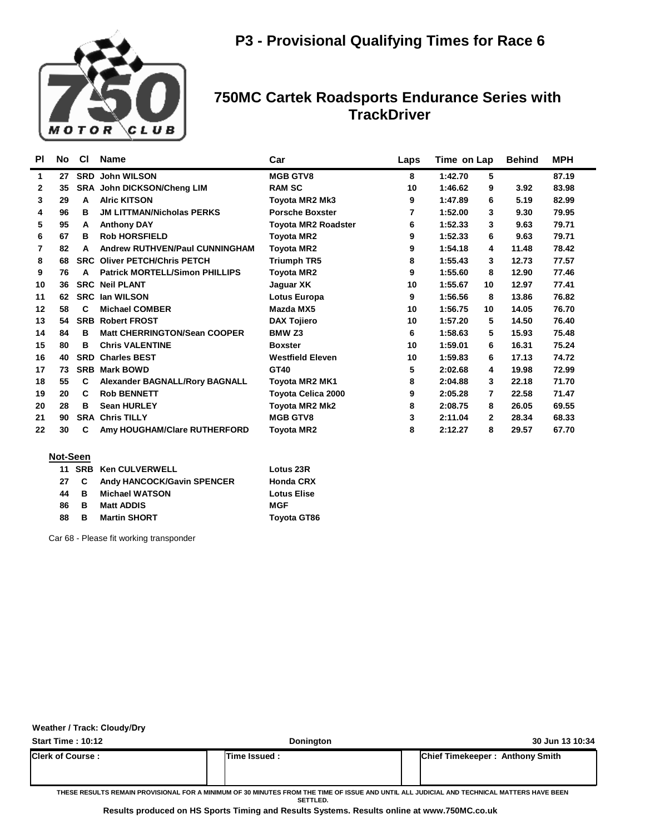

| <b>PI</b>    | No | <b>CI</b>  | <b>Name</b>                           | Car                        | Laps | Time on Lap   | <b>Behind</b> | <b>MPH</b> |
|--------------|----|------------|---------------------------------------|----------------------------|------|---------------|---------------|------------|
| 1            | 27 |            | <b>SRD John WILSON</b>                | <b>MGB GTV8</b>            | 8    | 5<br>1:42.70  |               | 87.19      |
| $\mathbf{2}$ | 35 |            | <b>SRA John DICKSON/Cheng LIM</b>     | <b>RAM SC</b>              | 10   | 1:46.62<br>9  | 3.92          | 83.98      |
| 3            | 29 | A          | <b>Alric KITSON</b>                   | Toyota MR2 Mk3             | 9    | 1:47.89<br>6  | 5.19          | 82.99      |
| 4            | 96 | в          | <b>JM LITTMAN/Nicholas PERKS</b>      | <b>Porsche Boxster</b>     | 7    | 1:52.00<br>3  | 9.30          | 79.95      |
| 5            | 95 | A          | <b>Anthony DAY</b>                    | <b>Toyota MR2 Roadster</b> | 6    | 1:52.33<br>3  | 9.63          | 79.71      |
| 6            | 67 | в          | <b>Rob HORSFIELD</b>                  | <b>Toyota MR2</b>          | 9    | 1:52.33<br>6  | 9.63          | 79.71      |
| 7            | 82 | A          | <b>Andrew RUTHVEN/Paul CUNNINGHAM</b> | <b>Toyota MR2</b>          | 9    | 1:54.18<br>4  | 11.48         | 78.42      |
| 8            | 68 |            | <b>SRC Oliver PETCH/Chris PETCH</b>   | <b>Triumph TR5</b>         | 8    | 1:55.43<br>3  | 12.73         | 77.57      |
| 9            | 76 | А          | <b>Patrick MORTELL/Simon PHILLIPS</b> | <b>Toyota MR2</b>          | 9    | 1:55.60<br>8  | 12.90         | 77.46      |
| 10           | 36 |            | <b>SRC Neil PLANT</b>                 | Jaguar XK                  | 10   | 1:55.67<br>10 | 12.97         | 77.41      |
| 11           | 62 | <b>SRC</b> | lan WILSON                            | Lotus Europa               | 9    | 1:56.56<br>8  | 13.86         | 76.82      |
| 12           | 58 | C          | <b>Michael COMBER</b>                 | Mazda MX5                  | 10   | 1:56.75<br>10 | 14.05         | 76.70      |
| 13           | 54 |            | <b>SRB Robert FROST</b>               | <b>DAX Tojiero</b>         | 10   | 1:57.20<br>5  | 14.50         | 76.40      |
| 14           | 84 | в          | <b>Matt CHERRINGTON/Sean COOPER</b>   | BMW <sub>Z3</sub>          | 6    | 1:58.63<br>5  | 15.93         | 75.48      |
| 15           | 80 | в          | <b>Chris VALENTINE</b>                | <b>Boxster</b>             | 10   | 1:59.01<br>6  | 16.31         | 75.24      |
| 16           | 40 | <b>SRD</b> | <b>Charles BEST</b>                   | <b>Westfield Eleven</b>    | 10   | 1:59.83<br>6  | 17.13         | 74.72      |
| 17           | 73 |            | <b>SRB Mark BOWD</b>                  | GT40                       | 5    | 2:02.68<br>4  | 19.98         | 72.99      |
| 18           | 55 | C          | <b>Alexander BAGNALL/Rory BAGNALL</b> | <b>Toyota MR2 MK1</b>      | 8    | 2:04.88<br>3  | 22.18         | 71.70      |
| 19           | 20 | C          | <b>Rob BENNETT</b>                    | <b>Toyota Celica 2000</b>  | 9    | 2:05.28<br>7  | 22.58         | 71.47      |
| 20           | 28 | в          | <b>Sean HURLEY</b>                    | Toyota MR2 Mk2             | 8    | 2:08.75<br>8  | 26.05         | 69.55      |
| 21           | 90 |            | <b>SRA Chris TILLY</b>                | <b>MGB GTV8</b>            | 3    | 2:11.04<br>2  | 28.34         | 68.33      |
| 22           | 30 | C          | Amy HOUGHAM/Clare RUTHERFORD          | <b>Toyota MR2</b>          | 8    | 2:12.27<br>8  | 29.57         | 67.70      |
|              |    |            |                                       |                            |      |               |               |            |

### **Not-Seen**

|    |   | 11 SRB Ken CULVERWELL        | Lotus 23R          |
|----|---|------------------------------|--------------------|
| 27 |   | C Andy HANCOCK/Gavin SPENCER | <b>Honda CRX</b>   |
| 44 | в | <b>Michael WATSON</b>        | <b>Lotus Elise</b> |
| 86 | в | <b>Matt ADDIS</b>            | MGF                |
| 88 | в | <b>Martin SHORT</b>          | <b>Toyota GT86</b> |

Car 68 - Please fit working transponder

#### **Weather / Track: Cloudy/Dry**

| <b>Start Time: 10:12</b>  | Donington      | 30 Jun 13 10:34                                                                                                                           |
|---------------------------|----------------|-------------------------------------------------------------------------------------------------------------------------------------------|
| <b>IClerk of Course :</b> | lTime Issued : | <b>Chief Timekeeper: Anthony Smith</b>                                                                                                    |
|                           |                | TUESE BESULTS BEHAN BRAUGIANAL EAR A HINIHUM AF AA HINIITES EBAH TUE TIHE AF ISSUE AND INTU. ALL UIBISIAL AND TESINIAAL MATTERS UAVE BEEN |

**THESE RESULTS REMAIN PROVISIONAL FOR A MINIMUM OF 30 MINUTES FROM THE TIME OF ISSUE AND UNTIL ALL JUDICIAL AND TECHNICAL MATTERS HAVE BEEN SETTLED.**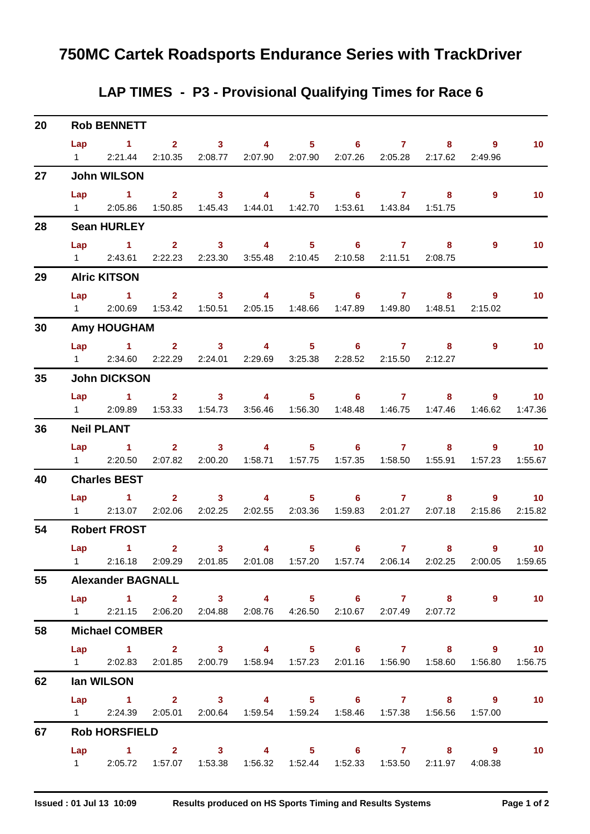## **LAP TIMES - P3 - Provisional Qualifying Times for Race 6**

| 20              |                   | <b>Rob BENNETT</b>                                                                                    |                                                                 |                                                               |                  |                |                 |                        |                 |
|-----------------|-------------------|-------------------------------------------------------------------------------------------------------|-----------------------------------------------------------------|---------------------------------------------------------------|------------------|----------------|-----------------|------------------------|-----------------|
|                 |                   | Lap 1 2 3 4 5 6 7 8 9<br>1 2:21.44 2:10.35 2:08.77 2:07.90 2:07.90 2:07.26 2:05.28 2:17.62 2:49.96    |                                                                 |                                                               |                  |                |                 |                        | 10 <sup>°</sup> |
| 27              |                   | <b>John WILSON</b>                                                                                    |                                                                 |                                                               |                  |                |                 |                        |                 |
|                 |                   | $Lap$ 1 2                                                                                             |                                                                 | 3 4 5 6 7 8                                                   |                  |                |                 | 9                      | 10              |
|                 |                   | 1 2:05.86 1:50.85 1:45.43 1:44.01 1:42.70 1:53.61 1:43.84 1:51.75                                     |                                                                 |                                                               |                  |                |                 |                        |                 |
| 28              |                   | <b>Sean HURLEY</b>                                                                                    |                                                                 |                                                               |                  |                |                 |                        |                 |
|                 |                   | Lap 1 2 3 4 5 6 7                                                                                     |                                                                 |                                                               |                  |                | 8               | 9                      | 10              |
|                 |                   | 1 2:43.61 2:22.23 2:23.30 3:55.48 2:10.45 2:10.58 2:11.51 2:08.75                                     |                                                                 |                                                               |                  |                |                 |                        |                 |
| 29              |                   | <b>Alric KITSON</b>                                                                                   |                                                                 |                                                               |                  |                |                 |                        |                 |
|                 |                   | Lap 1 2 3 4 5 6 7 8 9                                                                                 |                                                                 |                                                               |                  |                |                 |                        | 10              |
|                 |                   | 1 2:00.69 1:53.42                                                                                     |                                                                 | 1:50.51  2:05.15  1:48.66  1:47.89  1:49.80  1:48.51          |                  |                |                 | 2:15.02                |                 |
| 30              |                   | <b>Amy HOUGHAM</b>                                                                                    |                                                                 |                                                               |                  |                |                 |                        |                 |
|                 |                   | Lap 1 2 3 4 5 6 7 8 9                                                                                 |                                                                 |                                                               |                  |                |                 |                        | 10              |
|                 | $1 \qquad \qquad$ |                                                                                                       | 2:34.60 2:22.29 2:24.01 2:29.69 3:25.38 2:28.52 2:15.50 2:12.27 |                                                               |                  |                |                 |                        |                 |
| 35 <sub>5</sub> |                   | <b>John DICKSON</b>                                                                                   |                                                                 |                                                               |                  |                |                 |                        |                 |
|                 |                   | Lap 1 2 3 4 5 6 7 8                                                                                   |                                                                 |                                                               |                  |                |                 |                        | $9 \t 10$       |
|                 |                   | 1 2:09.89 1:53.33 1:54.73 3:56.46 1:56.30 1:48.48 1:46.75 1:47.46 1:46.62                             |                                                                 |                                                               |                  |                |                 |                        | 1:47.36         |
| 36              |                   | <b>Neil PLANT</b>                                                                                     |                                                                 |                                                               |                  |                |                 |                        |                 |
|                 |                   | Lap 1 2 3 4 5 6 7 8 9 10                                                                              |                                                                 |                                                               |                  |                |                 |                        |                 |
|                 |                   | 1 2:20.50 2:07.82                                                                                     |                                                                 | 2:00.20  1:58.71  1:57.75  1:57.35  1:58.50  1:55.91  1:57.23 |                  |                |                 |                        | 1:55.67         |
| 40              |                   | <b>Charles BEST</b>                                                                                   |                                                                 |                                                               |                  |                |                 |                        |                 |
|                 |                   | Lap 1 2 3 4 5 6 7 8 9<br>1 2:13.07 2:02.06                                                            |                                                                 |                                                               |                  |                |                 |                        | 10              |
|                 |                   |                                                                                                       | 2:02.25  2:02.55  2:03.36  1:59.83  2:01.27  2:07.18  2:15.86   |                                                               |                  |                |                 |                        | 2:15.82         |
| 54              |                   | <b>Robert FROST</b>                                                                                   |                                                                 |                                                               |                  |                |                 |                        |                 |
|                 |                   | Lap 1 2 3 4<br>1 2:16.18 2:09.29 2:01.85 2:01.08 1:57.20 1:57.74 2:06.14 2:02.25 2:00.05 1:59.65      |                                                                 |                                                               | $5^{\circ}$<br>6 | $\overline{7}$ |                 | $8 - 1$<br>$9^{\circ}$ | 10              |
|                 |                   |                                                                                                       |                                                                 |                                                               |                  |                |                 |                        |                 |
| 55              |                   | <b>Alexander BAGNALL</b>                                                                              |                                                                 |                                                               |                  |                |                 |                        |                 |
|                 |                   | Lap 1 2 3 4 5 6 7 8<br>1 2:21.15 2:06.20 2:04.88 2:08.76 4:26.50 2:10.67                              |                                                                 |                                                               |                  |                | 2:07.49 2:07.72 | $\overline{9}$         | 10              |
| 58              |                   | <b>Michael COMBER</b>                                                                                 |                                                                 |                                                               |                  |                |                 |                        |                 |
|                 |                   |                                                                                                       |                                                                 |                                                               |                  |                |                 |                        |                 |
|                 |                   | Lap 1 2 3 4 5 6 7 8 9 10<br>1 2:02.83 2:01.85 2:00.79 1:58.94 1:57.23 2:01.16 1:56.90 1:58.60 1:56.80 |                                                                 |                                                               |                  |                |                 |                        | 1:56.75         |
| 62              |                   | lan WILSON                                                                                            |                                                                 |                                                               |                  |                |                 |                        |                 |
|                 |                   | Lap 1 2 3 4 5 6 7 8 9                                                                                 |                                                                 |                                                               |                  |                |                 |                        |                 |
|                 |                   | 1   2:24.39   2:05.01   2:00.64   1:59.54   1:59.24   1:58.46   1:57.38   1:56.56   1:57.00           |                                                                 |                                                               |                  |                |                 |                        | 10              |
| 67              |                   | <b>Rob HORSFIELD</b>                                                                                  |                                                                 |                                                               |                  |                |                 |                        |                 |
|                 |                   | Lap 1 2 3 4 5 6 7 8 9                                                                                 |                                                                 |                                                               |                  |                |                 |                        | 10              |
|                 |                   | 1 2:05.72 1:57.07                                                                                     |                                                                 | 1:53.38  1:56.32  1:52.44  1:52.33  1:53.50  2:11.97  4:08.38 |                  |                |                 |                        |                 |
|                 |                   |                                                                                                       |                                                                 |                                                               |                  |                |                 |                        |                 |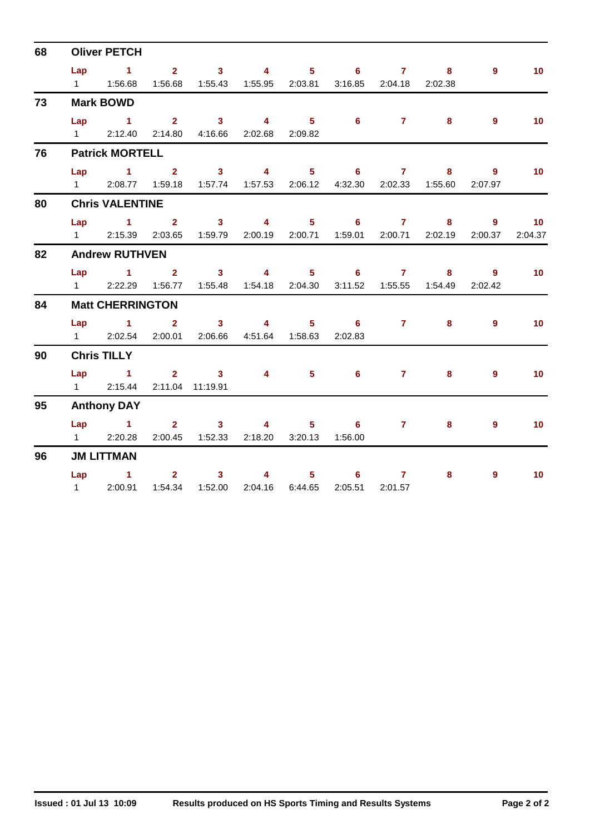| 68 |                | <b>Oliver PETCH</b>        |                |                                                               |              |                                                     |                 |                                                                                                                                                                                                                                                                                                                                    |                |                                             |                 |
|----|----------------|----------------------------|----------------|---------------------------------------------------------------|--------------|-----------------------------------------------------|-----------------|------------------------------------------------------------------------------------------------------------------------------------------------------------------------------------------------------------------------------------------------------------------------------------------------------------------------------------|----------------|---------------------------------------------|-----------------|
|    |                |                            |                | Lap 1 2 3 4 5                                                 |              |                                                     |                 | $6 \qquad \qquad 7 \qquad \qquad 8$                                                                                                                                                                                                                                                                                                |                | $9^{\circ}$                                 | 10 <sup>°</sup> |
|    |                |                            |                | 1:56.68  1:55.43  1:55.95  2:03.81  3:16.85  2:04.18  2:02.38 |              |                                                     |                 |                                                                                                                                                                                                                                                                                                                                    |                |                                             |                 |
| 73 |                | <b>Mark BOWD</b>           |                |                                                               |              |                                                     |                 |                                                                                                                                                                                                                                                                                                                                    |                |                                             |                 |
|    |                |                            |                | Lap 1 2 3 4 5 6 7                                             |              |                                                     |                 |                                                                                                                                                                                                                                                                                                                                    | 8 <sup>1</sup> | $\overline{9}$                              | 10 <sup>°</sup> |
|    | $1 \quad \Box$ |                            |                | 2:12.40 2:14.80 4:16.66 2:02.68                               |              | 2:09.82                                             |                 |                                                                                                                                                                                                                                                                                                                                    |                |                                             |                 |
| 76 |                | <b>Patrick MORTELL</b>     |                |                                                               |              |                                                     |                 |                                                                                                                                                                                                                                                                                                                                    |                |                                             |                 |
|    |                | Lap $1$ 2                  |                | $\overline{\mathbf{3}}$                                       |              | $4 \quad 5$                                         | $6^{\circ}$     | 7 <sup>7</sup>                                                                                                                                                                                                                                                                                                                     | 8              | - 9                                         | 10 <sup>°</sup> |
|    |                |                            |                | 1 2:08.77 1:59.18 1:57.74 1:57.53                             |              |                                                     |                 |                                                                                                                                                                                                                                                                                                                                    |                | 2:06.12  4:32.30  2:02.33  1:55.60  2:07.97 |                 |
| 80 |                | <b>Chris VALENTINE</b>     |                |                                                               |              |                                                     |                 |                                                                                                                                                                                                                                                                                                                                    |                |                                             |                 |
|    |                | Lap $1$ 2                  |                |                                                               |              | 3 4 5 6                                             |                 | $\overline{7}$ and $\overline{7}$ and $\overline{7}$ and $\overline{7}$ and $\overline{7}$ and $\overline{7}$ and $\overline{7}$ and $\overline{7}$ and $\overline{7}$ and $\overline{7}$ and $\overline{7}$ and $\overline{7}$ and $\overline{7}$ and $\overline{7}$ and $\overline{7}$ and $\overline{7}$ and $\overline{7}$ and | 8              | $\overline{9}$                              | 10              |
|    |                |                            |                | 1 2:15.39 2:03.65 1:59.79 2:00.19 2:00.71 1:59.01             |              |                                                     |                 |                                                                                                                                                                                                                                                                                                                                    |                | 2:00.71 2:02.19 2:00.37                     | 2:04.37         |
| 82 |                | <b>Andrew RUTHVEN</b>      |                |                                                               |              |                                                     |                 |                                                                                                                                                                                                                                                                                                                                    |                |                                             |                 |
|    |                | Lap $1$ 2                  |                |                                                               |              | 3 4 5 6 7 8 9                                       |                 |                                                                                                                                                                                                                                                                                                                                    |                |                                             | 10 <sup>°</sup> |
|    |                | 1 2:22.29 1:56.77          |                |                                                               |              | 2:04.30                                             | 3:11.52         |                                                                                                                                                                                                                                                                                                                                    |                | 2:02.42                                     |                 |
| 84 |                | <b>Matt CHERRINGTON</b>    |                |                                                               |              |                                                     |                 |                                                                                                                                                                                                                                                                                                                                    |                |                                             |                 |
|    |                | Lap $1$ 2                  |                |                                                               | $3 \t 4$     |                                                     |                 | $5 \t\t 6 \t\t 7$                                                                                                                                                                                                                                                                                                                  | 8 <sup>1</sup> | $9^{\circ}$                                 | 10              |
|    |                | 1 2:02.54 2:00.01          |                |                                                               |              | 2:06.66 4:51.64 1:58.63                             | 2:02.83         |                                                                                                                                                                                                                                                                                                                                    |                |                                             |                 |
| 90 |                | <b>Chris TILLY</b>         |                |                                                               |              |                                                     |                 |                                                                                                                                                                                                                                                                                                                                    |                |                                             |                 |
|    |                | $Lap$ 1                    |                | 2 3 4 5                                                       |              |                                                     | 6               | 7 <sup>7</sup>                                                                                                                                                                                                                                                                                                                     | 8 <sup>°</sup> | 9                                           | 10 <sup>°</sup> |
|    |                | 1 2:15.44 2:11.04 11:19.91 |                |                                                               |              |                                                     |                 |                                                                                                                                                                                                                                                                                                                                    |                |                                             |                 |
| 95 |                | <b>Anthony DAY</b>         |                |                                                               |              |                                                     |                 |                                                                                                                                                                                                                                                                                                                                    |                |                                             |                 |
|    |                | Lap 1                      | 2 <sup>7</sup> | 3 <sup>7</sup>                                                |              | $\overline{\mathbf{4}}$ and $\overline{\mathbf{4}}$ | $5^{\circ}$     | $6 \qquad \qquad 7 \qquad \qquad$                                                                                                                                                                                                                                                                                                  | 8 <sup>1</sup> | 9                                           | 10 <sup>°</sup> |
|    |                | 1 2:20.28                  |                | 2:00.45  1:52.33  2:18.20                                     |              |                                                     | 3:20.13 1:56.00 |                                                                                                                                                                                                                                                                                                                                    |                |                                             |                 |
| 96 |                | <b>JM LITTMAN</b>          |                |                                                               |              |                                                     |                 |                                                                                                                                                                                                                                                                                                                                    |                |                                             |                 |
|    |                | $Lap$ 1                    | $\sim$ 2       |                                                               | $3 \qquad 4$ |                                                     | $5 \t\t 6$      | $\overline{7}$ and $\overline{7}$ and $\overline{7}$ and $\overline{7}$ and $\overline{7}$ and $\overline{7}$ and $\overline{7}$ and $\overline{7}$ and $\overline{7}$ and $\overline{7}$ and $\overline{7}$ and $\overline{7}$ and $\overline{7}$ and $\overline{7}$ and $\overline{7}$ and $\overline{7}$ and $\overline{7}$ and | 8 <sup>1</sup> | $\overline{9}$                              | 10              |
|    |                | 1 2:00.91                  |                | 1:54.34  1:52.00  2:04.16                                     |              | 6:44.65                                             | 2:05.51         | 2:01.57                                                                                                                                                                                                                                                                                                                            |                |                                             |                 |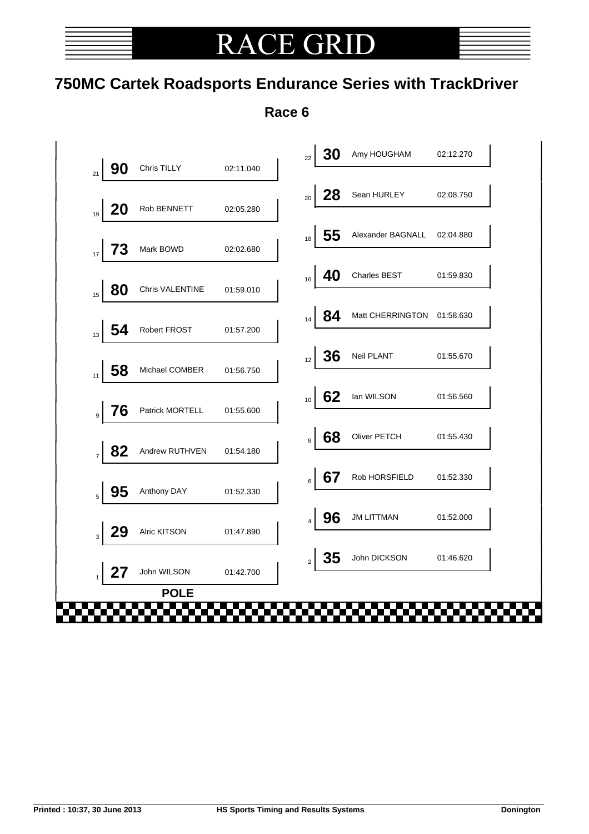# **RACE GRII**

# **750MC Cartek Roadsports Endurance Series with TrackDriver**

**Race 6**

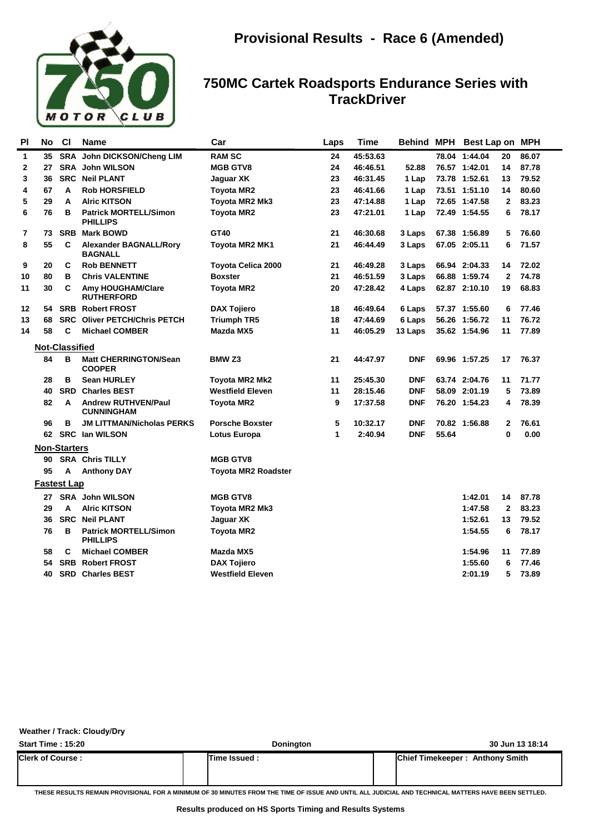

| John DICKSON/Cheng LIM<br><b>RAM SC</b><br>45:53.63<br>$\mathbf{1}$<br>35<br><b>SRA</b><br>24<br>78.04 1:44.04<br><b>SRA</b><br><b>John WILSON</b><br><b>MGB GTV8</b><br>24<br>46:46.51<br>52.88<br>76.57 1:42.01<br>$\mathbf{2}$<br>27<br><b>SRC</b><br>23<br>73.78 1:52.61<br>3<br>36<br><b>Neil PLANT</b><br>Jaquar XK<br>46:31.45<br>1 Lap<br>23<br>67<br><b>Rob HORSFIELD</b><br>46:41.66<br>73.51 1:51.10<br>4<br>A<br><b>Toyota MR2</b><br>1 Lap<br>5<br>29<br>A<br><b>Alric KITSON</b><br>Toyota MR2 Mk3<br>23<br>47:14.88<br>1 Lap<br>72.65 1:47.58<br>6<br>76<br>B<br>23<br>72.49 1:54.55<br><b>Patrick MORTELL/Simon</b><br><b>Toyota MR2</b><br>47:21.01<br>1 Lap<br><b>PHILLIPS</b><br>GT40<br>$\overline{7}$<br><b>SRB</b><br><b>Mark BOWD</b><br>21<br>46:30.68<br>73<br>3 Laps<br>67.38 1:56.89<br>55<br>8<br>С<br><b>Alexander BAGNALL/Rory</b><br>21<br>46:44.49<br>3 Laps<br>67.05 2:05.11<br>Toyota MR2 MK1<br><b>BAGNALL</b><br>C<br>9<br>20<br><b>Rob BENNETT</b><br><b>Toyota Celica 2000</b><br>21<br>46:49.28<br>66.94 2:04.33<br>3 Laps<br>80<br>B<br><b>Chris VALENTINE</b><br>21<br>46:51.59<br>66.88 1:59.74<br>10<br><b>Boxster</b><br>3 Laps<br>30<br>C<br>20<br>47:28.42<br>62.87 2:10.10<br>11<br>Amy HOUGHAM/Clare<br><b>Toyota MR2</b><br>4 Laps<br><b>RUTHERFORD</b><br><b>SRB Robert FROST</b><br>12<br><b>DAX Tojiero</b><br>18<br>46:49.64<br>57.37 1:55.60<br>54<br>6 Laps<br>68<br><b>SRC</b><br><b>Oliver PETCH/Chris PETCH</b><br>18<br>47:44.69<br>56.26 1:56.72<br>13<br><b>Triumph TR5</b><br>6 Laps | 20<br>86.07<br>14<br>87.78<br>79.52<br>13<br>80.60<br>14<br>$\mathbf{2}$<br>83.23<br>6<br>78.17<br>5<br>76.60<br>6<br>71.57<br>72.02<br>14 |
|----------------------------------------------------------------------------------------------------------------------------------------------------------------------------------------------------------------------------------------------------------------------------------------------------------------------------------------------------------------------------------------------------------------------------------------------------------------------------------------------------------------------------------------------------------------------------------------------------------------------------------------------------------------------------------------------------------------------------------------------------------------------------------------------------------------------------------------------------------------------------------------------------------------------------------------------------------------------------------------------------------------------------------------------------------------------------------------------------------------------------------------------------------------------------------------------------------------------------------------------------------------------------------------------------------------------------------------------------------------------------------------------------------------------------------------------------------------------------------------------------------------------------------------------------|--------------------------------------------------------------------------------------------------------------------------------------------|
|                                                                                                                                                                                                                                                                                                                                                                                                                                                                                                                                                                                                                                                                                                                                                                                                                                                                                                                                                                                                                                                                                                                                                                                                                                                                                                                                                                                                                                                                                                                                                    |                                                                                                                                            |
|                                                                                                                                                                                                                                                                                                                                                                                                                                                                                                                                                                                                                                                                                                                                                                                                                                                                                                                                                                                                                                                                                                                                                                                                                                                                                                                                                                                                                                                                                                                                                    |                                                                                                                                            |
|                                                                                                                                                                                                                                                                                                                                                                                                                                                                                                                                                                                                                                                                                                                                                                                                                                                                                                                                                                                                                                                                                                                                                                                                                                                                                                                                                                                                                                                                                                                                                    |                                                                                                                                            |
|                                                                                                                                                                                                                                                                                                                                                                                                                                                                                                                                                                                                                                                                                                                                                                                                                                                                                                                                                                                                                                                                                                                                                                                                                                                                                                                                                                                                                                                                                                                                                    |                                                                                                                                            |
|                                                                                                                                                                                                                                                                                                                                                                                                                                                                                                                                                                                                                                                                                                                                                                                                                                                                                                                                                                                                                                                                                                                                                                                                                                                                                                                                                                                                                                                                                                                                                    |                                                                                                                                            |
|                                                                                                                                                                                                                                                                                                                                                                                                                                                                                                                                                                                                                                                                                                                                                                                                                                                                                                                                                                                                                                                                                                                                                                                                                                                                                                                                                                                                                                                                                                                                                    |                                                                                                                                            |
|                                                                                                                                                                                                                                                                                                                                                                                                                                                                                                                                                                                                                                                                                                                                                                                                                                                                                                                                                                                                                                                                                                                                                                                                                                                                                                                                                                                                                                                                                                                                                    |                                                                                                                                            |
|                                                                                                                                                                                                                                                                                                                                                                                                                                                                                                                                                                                                                                                                                                                                                                                                                                                                                                                                                                                                                                                                                                                                                                                                                                                                                                                                                                                                                                                                                                                                                    |                                                                                                                                            |
|                                                                                                                                                                                                                                                                                                                                                                                                                                                                                                                                                                                                                                                                                                                                                                                                                                                                                                                                                                                                                                                                                                                                                                                                                                                                                                                                                                                                                                                                                                                                                    |                                                                                                                                            |
|                                                                                                                                                                                                                                                                                                                                                                                                                                                                                                                                                                                                                                                                                                                                                                                                                                                                                                                                                                                                                                                                                                                                                                                                                                                                                                                                                                                                                                                                                                                                                    | $\mathbf{2}$<br>74.78                                                                                                                      |
|                                                                                                                                                                                                                                                                                                                                                                                                                                                                                                                                                                                                                                                                                                                                                                                                                                                                                                                                                                                                                                                                                                                                                                                                                                                                                                                                                                                                                                                                                                                                                    | 68.83<br>19                                                                                                                                |
|                                                                                                                                                                                                                                                                                                                                                                                                                                                                                                                                                                                                                                                                                                                                                                                                                                                                                                                                                                                                                                                                                                                                                                                                                                                                                                                                                                                                                                                                                                                                                    | 6<br>77.46                                                                                                                                 |
|                                                                                                                                                                                                                                                                                                                                                                                                                                                                                                                                                                                                                                                                                                                                                                                                                                                                                                                                                                                                                                                                                                                                                                                                                                                                                                                                                                                                                                                                                                                                                    | 76.72<br>11                                                                                                                                |
| 58<br>C<br><b>Michael COMBER</b><br>Mazda MX5<br>46:05.29<br>35.62 1:54.96<br>14<br>11<br>13 Laps                                                                                                                                                                                                                                                                                                                                                                                                                                                                                                                                                                                                                                                                                                                                                                                                                                                                                                                                                                                                                                                                                                                                                                                                                                                                                                                                                                                                                                                  | 77.89<br>11                                                                                                                                |
| <b>Not-Classified</b>                                                                                                                                                                                                                                                                                                                                                                                                                                                                                                                                                                                                                                                                                                                                                                                                                                                                                                                                                                                                                                                                                                                                                                                                                                                                                                                                                                                                                                                                                                                              |                                                                                                                                            |
| 84<br>в<br><b>Matt CHERRINGTON/Sean</b><br>BMW <sub>Z3</sub><br>21<br><b>DNF</b><br>44:47.97<br>69.96 1:57.25<br><b>COOPER</b>                                                                                                                                                                                                                                                                                                                                                                                                                                                                                                                                                                                                                                                                                                                                                                                                                                                                                                                                                                                                                                                                                                                                                                                                                                                                                                                                                                                                                     | 76.37<br>17                                                                                                                                |
| B<br><b>Sean HURLEY</b><br>11<br>25:45.30<br><b>DNF</b><br>63.74 2:04.76<br>28<br>Toyota MR2 Mk2                                                                                                                                                                                                                                                                                                                                                                                                                                                                                                                                                                                                                                                                                                                                                                                                                                                                                                                                                                                                                                                                                                                                                                                                                                                                                                                                                                                                                                                   | 11<br>71.77                                                                                                                                |
| 40<br><b>SRD</b> Charles BEST<br><b>Westfield Eleven</b><br>11<br>28:15.46<br><b>DNF</b><br>58.09 2:01.19                                                                                                                                                                                                                                                                                                                                                                                                                                                                                                                                                                                                                                                                                                                                                                                                                                                                                                                                                                                                                                                                                                                                                                                                                                                                                                                                                                                                                                          | 5<br>73.89                                                                                                                                 |
| 82<br><b>Andrew RUTHVEN/Paul</b><br>9<br>17:37.58<br><b>DNF</b><br>76.20 1:54.23<br>A<br><b>Toyota MR2</b><br><b>CUNNINGHAM</b>                                                                                                                                                                                                                                                                                                                                                                                                                                                                                                                                                                                                                                                                                                                                                                                                                                                                                                                                                                                                                                                                                                                                                                                                                                                                                                                                                                                                                    | 78.39<br>4                                                                                                                                 |
| <b>JM LITTMAN/Nicholas PERKS</b><br><b>Porsche Boxster</b><br>5<br>10:32.17<br><b>DNF</b><br>70.82 1:56.88<br>96<br>в                                                                                                                                                                                                                                                                                                                                                                                                                                                                                                                                                                                                                                                                                                                                                                                                                                                                                                                                                                                                                                                                                                                                                                                                                                                                                                                                                                                                                              | 76.61<br>$\mathbf{2}$                                                                                                                      |
| <b>DNF</b><br>55.64<br>62 SRC Ian WILSON<br>1<br>2:40.94<br>Lotus Europa                                                                                                                                                                                                                                                                                                                                                                                                                                                                                                                                                                                                                                                                                                                                                                                                                                                                                                                                                                                                                                                                                                                                                                                                                                                                                                                                                                                                                                                                           | $\bf{0}$<br>0.00                                                                                                                           |
| <b>Non-Starters</b>                                                                                                                                                                                                                                                                                                                                                                                                                                                                                                                                                                                                                                                                                                                                                                                                                                                                                                                                                                                                                                                                                                                                                                                                                                                                                                                                                                                                                                                                                                                                |                                                                                                                                            |
| <b>SRA Chris TILLY</b><br><b>MGB GTV8</b><br>90                                                                                                                                                                                                                                                                                                                                                                                                                                                                                                                                                                                                                                                                                                                                                                                                                                                                                                                                                                                                                                                                                                                                                                                                                                                                                                                                                                                                                                                                                                    |                                                                                                                                            |
| 95<br><b>Anthony DAY</b><br><b>Toyota MR2 Roadster</b><br>А                                                                                                                                                                                                                                                                                                                                                                                                                                                                                                                                                                                                                                                                                                                                                                                                                                                                                                                                                                                                                                                                                                                                                                                                                                                                                                                                                                                                                                                                                        |                                                                                                                                            |
| <b>Fastest Lap</b>                                                                                                                                                                                                                                                                                                                                                                                                                                                                                                                                                                                                                                                                                                                                                                                                                                                                                                                                                                                                                                                                                                                                                                                                                                                                                                                                                                                                                                                                                                                                 |                                                                                                                                            |
| <b>SRA</b> John WILSON<br><b>MGB GTV8</b><br>1:42.01<br>27                                                                                                                                                                                                                                                                                                                                                                                                                                                                                                                                                                                                                                                                                                                                                                                                                                                                                                                                                                                                                                                                                                                                                                                                                                                                                                                                                                                                                                                                                         | 87.78<br>14                                                                                                                                |
| 29<br><b>Alric KITSON</b><br>1:47.58<br>A<br>Toyota MR2 Mk3                                                                                                                                                                                                                                                                                                                                                                                                                                                                                                                                                                                                                                                                                                                                                                                                                                                                                                                                                                                                                                                                                                                                                                                                                                                                                                                                                                                                                                                                                        | $\mathbf{2}$<br>83.23                                                                                                                      |
| 36<br><b>SRC Neil PLANT</b><br>1:52.61<br>Jaquar XK                                                                                                                                                                                                                                                                                                                                                                                                                                                                                                                                                                                                                                                                                                                                                                                                                                                                                                                                                                                                                                                                                                                                                                                                                                                                                                                                                                                                                                                                                                | 79.52<br>13                                                                                                                                |
| 76<br>B<br><b>Patrick MORTELL/Simon</b><br>1:54.55<br>Toyota MR2<br><b>PHILLIPS</b>                                                                                                                                                                                                                                                                                                                                                                                                                                                                                                                                                                                                                                                                                                                                                                                                                                                                                                                                                                                                                                                                                                                                                                                                                                                                                                                                                                                                                                                                | 6<br>78.17                                                                                                                                 |
| 58<br>С<br><b>Michael COMBER</b><br>Mazda MX5<br>1:54.96                                                                                                                                                                                                                                                                                                                                                                                                                                                                                                                                                                                                                                                                                                                                                                                                                                                                                                                                                                                                                                                                                                                                                                                                                                                                                                                                                                                                                                                                                           | 11<br>77.89                                                                                                                                |
| <b>SRB Robert FROST</b><br>54<br><b>DAX Tojiero</b><br>1:55.60                                                                                                                                                                                                                                                                                                                                                                                                                                                                                                                                                                                                                                                                                                                                                                                                                                                                                                                                                                                                                                                                                                                                                                                                                                                                                                                                                                                                                                                                                     |                                                                                                                                            |
| <b>Westfield Eleven</b><br>40<br><b>SRD Charles BEST</b><br>2:01.19                                                                                                                                                                                                                                                                                                                                                                                                                                                                                                                                                                                                                                                                                                                                                                                                                                                                                                                                                                                                                                                                                                                                                                                                                                                                                                                                                                                                                                                                                | 6<br>77.46                                                                                                                                 |

### **Weather / Track: Cloudy/Dry**

| <b>Start Time: 15:20</b> | <b>Donington</b> | 30 Jun 13 18:14                        |
|--------------------------|------------------|----------------------------------------|
| <b>Clerk of Course:</b>  | Time Issued:     | <b>Chief Timekeeper: Anthony Smith</b> |
|                          |                  |                                        |

**THESE RESULTS REMAIN PROVISIONAL FOR A MINIMUM OF 30 MINUTES FROM THE TIME OF ISSUE AND UNTIL ALL JUDICIAL AND TECHNICAL MATTERS HAVE BEEN SETTLED.**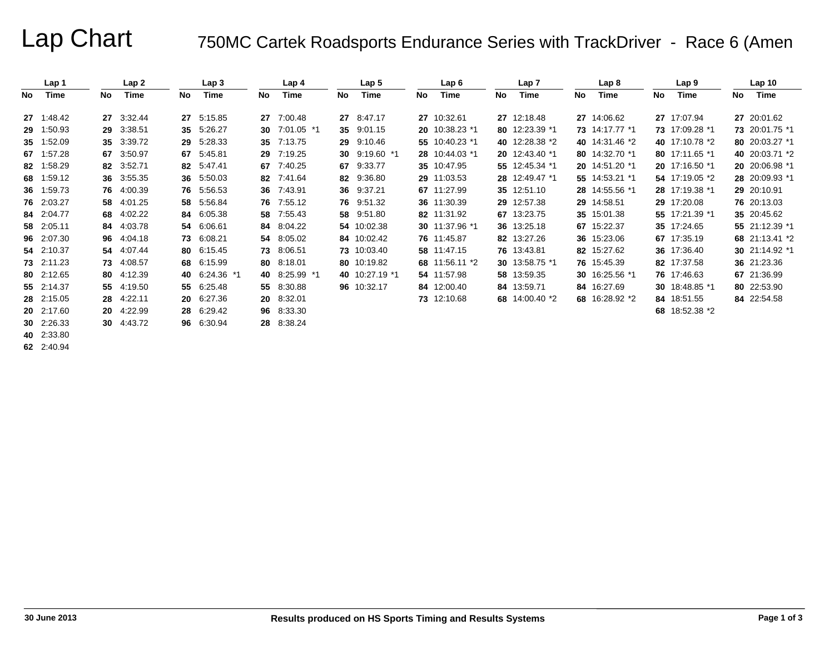# Lap Chart 750MC Cartek Roadsports Endurance Series with TrackDriver - Race 6 (Amen

|    | Lap 1      |    | Lap2       |    | Lap 3         |    | Lap 4         |    | Lap 5          |    | Lap6           |     | Lap 7          |     | Lap 8          |    | Lap 9          |     | Lap <sub>10</sub> |
|----|------------|----|------------|----|---------------|----|---------------|----|----------------|----|----------------|-----|----------------|-----|----------------|----|----------------|-----|-------------------|
| No | Time       | No | Time       | No | Time          | No | Time          | No | Time           | No | Time           | No. | Time           | No. | Time           | No | Time           | No. | Time              |
|    | 27 1:48.42 |    | 27 3:32.44 |    | 27 5:15.85    | 27 | 7:00.48       |    | 27 8:47.17     |    | 27 10:32.61    |     | 27 12:18.48    |     | 27 14:06.62    |    | 27 17:07.94    |     | 27 20:01.62       |
|    | 29 1:50.93 |    | 29 3:38.51 |    | 35 5:26.27    | 30 | 7:01.05 *1    |    | 35 9:01.15     |    | 20 10:38.23 *1 |     | 80 12:23.39 *1 |     | 73 14:17.77 *1 |    | 73 17:09.28 *1 |     | 73 20:01.75 *1    |
|    | 35 1:52.09 |    | 35 3:39.72 | 29 | 5:28.33       | 35 | 7:13.75       |    | 29 9:10.46     |    | 55 10:40.23 *1 |     | 40 12:28.38 *2 |     | 40 14:31.46 *2 |    | 40 17:10.78 *2 |     | 80 20:03.27 *1    |
|    | 67 1:57.28 |    | 67 3:50.97 | 67 | 5:45.81       | 29 | 7:19.25       |    | 30 9:19.60 *1  |    | 28 10:44.03 *1 |     | 20 12:43.40 *1 |     | 80 14:32.70 *1 |    | 80 17:11.65 *1 |     | 40 20:03.71 *2    |
|    | 82 1:58.29 |    | 82 3:52.71 |    | 82 5:47.41    | 67 | 7:40.25       | 67 | 9:33.77        |    | 35 10:47.95    |     | 55 12:45.34 *1 |     | 20 14:51.20 *1 |    | 20 17:16.50 *1 |     | 20 20:06.98 *1    |
|    | 68 1:59.12 |    | 36 3:55.35 |    | 36 5:50.03    | 82 | 7:41.64       |    | 82 9:36.80     |    | 29 11:03.53    |     | 28 12:49.47 *1 |     | 55 14:53.21 *1 |    | 54 17:19.05 *2 |     | 28 20:09.93 *1    |
|    | 36 1:59.73 |    | 76 4:00.39 |    | 76 5:56.53    | 36 | 7:43.91       |    | 36 9:37.21     |    | 67 11:27.99    |     | 35 12:51.10    |     | 28 14:55.56 *1 |    | 28 17:19.38 *1 |     | 29 20:10.91       |
|    | 76 2:03.27 |    | 58 4:01.25 |    | 58 5:56.84    | 76 | 7:55.12       |    | 76 9:51.32     |    | 36 11:30.39    |     | 29 12:57.38    |     | 29 14:58.51    |    | 29 17:20.08    |     | 76 20:13.03       |
|    | 84 2:04.77 |    | 68 4:02.22 |    | 84 6:05.38    | 58 | 7:55.43       |    | 58 9:51.80     |    | 82 11:31.92    |     | 67 13:23.75    |     | 35 15:01.38    |    | 55 17:21.39 *1 |     | 35 20:45.62       |
|    | 58 2:05.11 |    | 84 4:03.78 |    | 54 6:06.61    | 84 | 8:04.22       |    | 54 10:02.38    |    | 30 11:37.96 *1 |     | 36 13:25.18    |     | 67 15:22.37    |    | 35 17:24.65    |     | 55 21:12.39 *1    |
|    | 96 2:07.30 |    | 96 4:04.18 |    | 73 6:08.21    | 54 | 8:05.02       |    | 84 10:02.42    |    | 76 11:45.87    |     | 82 13:27.26    |     | 36 15:23.06    |    | 67 17:35.19    |     | 68 21:13.41 *2    |
|    | 54 2:10.37 |    | 54 4:07.44 |    | 80 6:15.45    | 73 | 8:06.51       |    | 73 10:03.40    |    | 58 11:47.15    |     | 76 13:43.81    |     | 82 15:27.62    |    | 36 17:36.40    |     | 30 21:14.92 *1    |
|    | 73 2:11.23 |    | 73 4:08.57 |    | 68 6:15.99    | 80 | 8:18.01       |    | 80 10:19.82    |    | 68 11:56.11 *2 |     | 30 13:58.75 *1 |     | 76 15:45.39    |    | 82 17:37.58    |     | 36 21:23.36       |
|    | 80 2:12.65 |    | 80 4:12.39 |    | 40 6:24.36 *1 |    | 40 8:25.99 *1 |    | 40 10:27.19 *1 |    | 54 11:57.98    |     | 58 13:59.35    |     | 30 16:25.56 *1 |    | 76 17:46.63    |     | 67 21:36.99       |
|    | 55 2:14.37 |    | 55 4:19.50 |    | 55 6:25.48    |    | 55 8:30.88    |    | 96 10:32.17    |    | 84 12:00.40    |     | 84 13:59.71    |     | 84 16:27.69    |    | 30 18:48.85 *1 |     | 80 22:53.90       |
|    | 28 2:15.05 |    | 28 4:22.11 |    | 20 6:27.36    | 20 | 8:32.01       |    |                |    | 73 12:10.68    |     | 68 14:00.40 *2 |     | 68 16:28.92 *2 |    | 84 18:51.55    |     | 84 22:54.58       |
|    | 20 2:17.60 |    | 20 4:22.99 |    | 28 6:29.42    | 96 | 8:33.30       |    |                |    |                |     |                |     |                |    | 68 18:52.38 *2 |     |                   |
|    | 30 2:26.33 |    | 30 4:43.72 |    | 96 6:30.94    |    | 28 8:38.24    |    |                |    |                |     |                |     |                |    |                |     |                   |
|    | 40 2:33.80 |    |            |    |               |    |               |    |                |    |                |     |                |     |                |    |                |     |                   |

**62** 2:40.94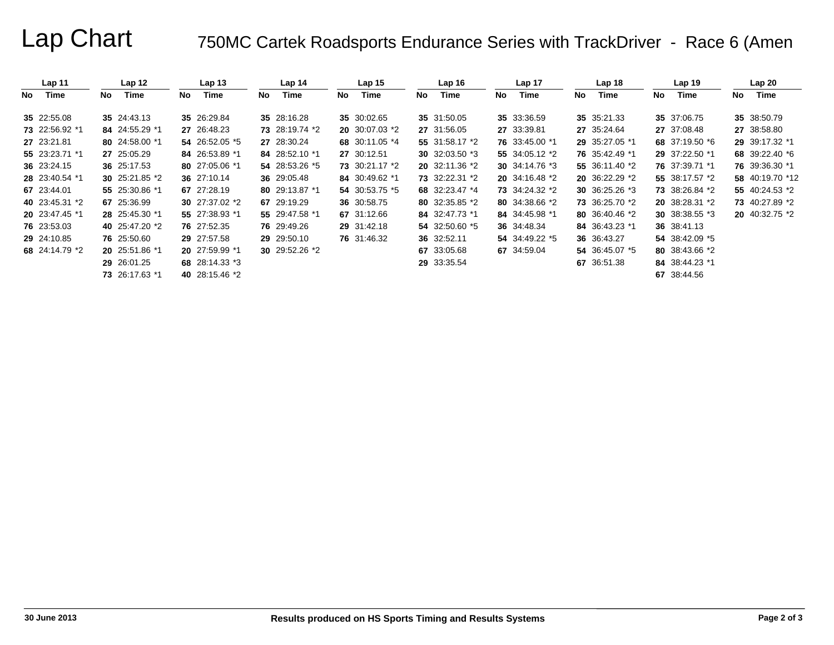# Lap Chart 750MC Cartek Roadsports Endurance Series with TrackDriver - Race 6 (Amen

|      | Lap <sub>11</sub> |     | Lap 12          |     | Lap <sub>13</sub> |     | Lap <sub>14</sub> |     | Lap <sub>15</sub>       |    | Lap16          |     | Lap 17         |    | Lap <sub>18</sub> |    | Lap 19          |     | Lap20                   |
|------|-------------------|-----|-----------------|-----|-------------------|-----|-------------------|-----|-------------------------|----|----------------|-----|----------------|----|-------------------|----|-----------------|-----|-------------------------|
| No l | Time              | No. | Time            | No. | Time              | No. | Time              | No. | Time                    | No | Time           | No. | Time           | No | Time              | No | Time            | No. | Time                    |
|      | 35 22:55.08       |     | 35 24:43.13     |     | 35 26:29.84       |     | 35 28:16.28       |     | 35 30:02.65             |    | 35 31:50.05    |     | 35 33:36.59    |    | 35 35:21.33       |    | 35 37:06.75     |     | 35 38:50.79             |
|      | 73 22:56.92 *1    |     | 84 24:55.29 *1  |     | 27 26:48.23       |     | 73 28:19.74 *2    |     | <b>20</b> 30:07.03 $*2$ |    | 27 31:56.05    |     | 27 33:39.81    |    | 27 35:24.64       |    | 27 37:08.48     |     | 27 38:58.80             |
|      | 27 23:21.81       |     | 80 24:58.00 *1  |     | 54 26:52.05 *5    |     | 27 28:30.24       |     | 68 30:11.05 *4          |    | 55 31:58.17 *2 |     | 76 33:45.00 *1 |    | 29 35:27.05 *1    |    | 68 37:19.50 *6  |     | 29 39:17.32 *1          |
|      | 55 23:23.71 *1    |     | 27 25:05.29     |     | 84 26:53.89 *1    |     | 84 28:52.10 *1    |     | 27 30:12.51             |    | 30 32:03.50 *3 |     | 55 34:05.12 *2 |    | 76 35:42.49 *1    |    | 29 37:22.50 *1  |     | 68 39:22.40 *6          |
|      | 36 23:24.15       |     | 36 25:17.53     |     | 80 27:05.06 *1    |     | 54 28:53.26 *5    |     | 73 30:21.17 *2          |    | 20 32:11.36 *2 |     | 30 34:14.76 *3 |    | 55 36:11.40 *2    |    | 76 37:39.71 *1  |     | 76 39:36.30 *1          |
|      | 28 23:40.54 *1    |     | 30 $25:21.85*2$ |     | 36 27:10.14       |     | 36 29:05.48       |     | 84 30:49.62 *1          |    | 73 32:22.31 *2 |     | 20 34:16.48 *2 |    | 20 36:22.29 *2    |    | 55 38:17.57 *2  |     | 58 40:19.70 *12         |
|      | 67 23:44.01       |     | 55 25:30.86 *1  |     | 67 27:28.19       |     | 80 29:13.87 *1    |     | 54 30:53.75 *5          |    | 68 32:23.47 *4 |     | 73 34:24.32 *2 |    | 30 36:25.26 *3    |    | 73 38:26.84 *2  |     | 55 40:24.53 *2          |
|      | 40 23:45.31 *2    |     | 67 25:36.99     |     | 30 $27:37.02*2$   |     | 67 29:19.29       |     | 36 30:58.75             |    | 80 32:35.85 *2 |     | 80 34:38.66 *2 |    | 73 36:25.70 *2    |    | 20 38:28.31 *2  |     | 73 40:27.89 *2          |
|      | 20 23:47.45 *1    |     | 28 25:45.30 *1  |     | 55 27:38.93 *1    |     | 55 29:47.58 *1    |     | 67 31:12.66             |    | 84 32:47.73 *1 |     | 84 34:45.98 *1 |    | 80 36:40.46 *2    |    | 30 $38:38.55*3$ |     | <b>20</b> 40:32.75 $*2$ |
|      | 76 23:53.03       |     | 40 25:47.20 *2  |     | 76 27:52.35       |     | 76 29:49.26       |     | 29 31:42.18             |    | 54 32:50.60 *5 |     | 36 34:48.34    |    | 84 36:43.23 *1    |    | 36 38:41.13     |     |                         |
|      | 29 24:10.85       |     | 76 25:50.60     |     | 29 27:57.58       |     | 29 29:50.10       |     | 76 31:46.32             |    | 36 32:52.11    |     | 54 34:49.22 *5 |    | 36 36:43.27       |    | 54 38:42.09 *5  |     |                         |
|      | 68 24:14.79 *2    |     | 20 25:51.86 *1  |     | 20 27:59.99 *1    |     | 30 29:52.26 *2    |     |                         |    | 67 33:05.68    |     | 67 34:59.04    |    | 54 36:45.07 *5    |    | 80 38:43.66 *2  |     |                         |
|      |                   |     | 29 26:01.25     |     | 68 28:14.33 *3    |     |                   |     |                         |    | 29 33:35.54    |     |                |    | 67 36:51.38       |    | 84 38:44.23 *1  |     |                         |
|      |                   |     | 73 26:17.63 *1  |     | 40 28:15.46 *2    |     |                   |     |                         |    |                |     |                |    |                   |    | 67 38:44.56     |     |                         |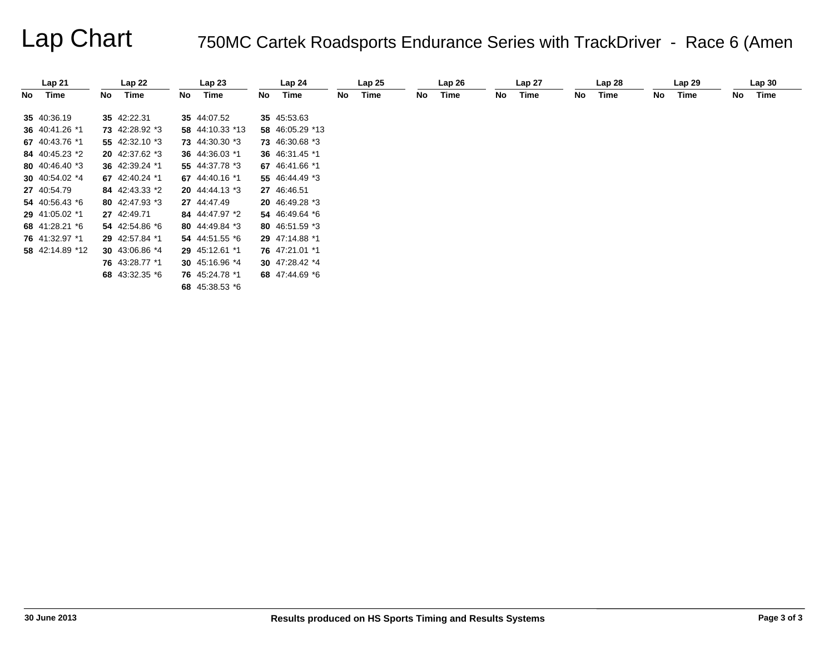# Lap Chart 750MC Cartek Roadsports Endurance Series with TrackDriver - Race 6 (Amen

|      | Lap21           |    | Lap22          |    | Lap23           |     | Lap <sub>24</sub> |    | Lap25 |    | Lap26 |    | Lap <sub>27</sub> |    | Lap <sub>28</sub> |    | Lap29 |    | Lap30 |  |
|------|-----------------|----|----------------|----|-----------------|-----|-------------------|----|-------|----|-------|----|-------------------|----|-------------------|----|-------|----|-------|--|
| No l | Time            | No | Time           | No | Time            | No. | Time              | No | Time  | No | Time  | No | Time              | No | Time              | No | Time  | No | Time  |  |
|      | 35 40:36.19     |    | 35 42:22.31    |    | 35 44:07.52     |     | 35 45:53.63       |    |       |    |       |    |                   |    |                   |    |       |    |       |  |
|      | 36 40:41.26 *1  |    | 73 42:28.92 *3 |    | 58 44:10.33 *13 |     | 58 46:05.29 *13   |    |       |    |       |    |                   |    |                   |    |       |    |       |  |
|      | 67 40:43.76 *1  |    | 55 42:32.10 *3 |    | 73 44:30.30 *3  |     | 73 46:30.68 *3    |    |       |    |       |    |                   |    |                   |    |       |    |       |  |
|      | 84 40:45.23 *2  |    | 20 42:37.62 *3 |    | 36 44:36.03 *1  |     | 36 46:31.45 *1    |    |       |    |       |    |                   |    |                   |    |       |    |       |  |
|      | 80 40:46.40 *3  |    | 36 42:39.24 *1 |    | 55 44:37.78 *3  |     | 67 46:41.66 *1    |    |       |    |       |    |                   |    |                   |    |       |    |       |  |
|      | 30 40:54.02 *4  |    | 67 42:40.24 *1 |    | 67 44:40.16 *1  |     | 55 46:44.49 *3    |    |       |    |       |    |                   |    |                   |    |       |    |       |  |
|      | 27 40:54.79     |    | 84 42:43.33 *2 |    | 20 44:44.13 *3  |     | 27 46:46.51       |    |       |    |       |    |                   |    |                   |    |       |    |       |  |
|      | 54 40:56.43 *6  |    | 80 42:47.93 *3 |    | 27 44:47.49     |     | 20 46:49.28 *3    |    |       |    |       |    |                   |    |                   |    |       |    |       |  |
|      | 29 41:05.02 *1  |    | 27 42:49.71    |    | 84 44:47.97 *2  |     | 54 46:49.64 *6    |    |       |    |       |    |                   |    |                   |    |       |    |       |  |
|      | 68 41:28.21 *6  |    | 54 42:54.86 *6 |    | 80 44:49.84 *3  |     | 80 46:51.59 *3    |    |       |    |       |    |                   |    |                   |    |       |    |       |  |
|      | 76 41:32.97 *1  |    | 29 42:57.84 *1 |    | 54 44:51.55 *6  |     | 29 47:14.88 *1    |    |       |    |       |    |                   |    |                   |    |       |    |       |  |
|      | 58 42:14.89 *12 |    | 30 43:06.86 *4 |    | 29 45:12.61 *1  |     | 76 47:21.01 *1    |    |       |    |       |    |                   |    |                   |    |       |    |       |  |
|      |                 |    | 76 43:28.77 *1 |    | 30 $45:16.96*4$ |     | 30 $47:28.42*4$   |    |       |    |       |    |                   |    |                   |    |       |    |       |  |
|      |                 |    | 68 43:32.35 *6 |    | 76 45:24.78 *1  |     | 68 47:44.69 *6    |    |       |    |       |    |                   |    |                   |    |       |    |       |  |
|      |                 |    |                |    | 68 45:38.53 *6  |     |                   |    |       |    |       |    |                   |    |                   |    |       |    |       |  |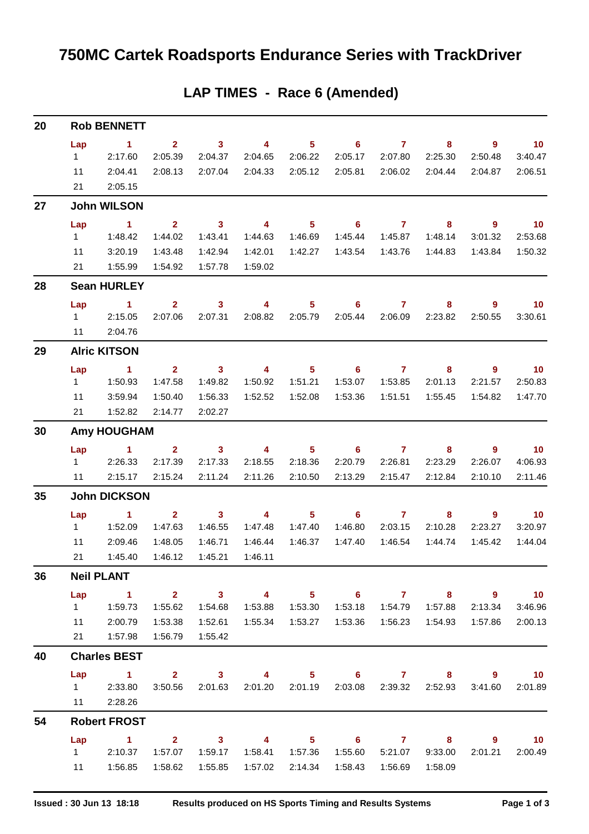| 20 |           | <b>Rob BENNETT</b>    |                         |                         |                         |                            |                            |                  |                           |                          |                 |
|----|-----------|-----------------------|-------------------------|-------------------------|-------------------------|----------------------------|----------------------------|------------------|---------------------------|--------------------------|-----------------|
|    | Lap       | $\sim$ 1              | $\overline{2}$          | $\overline{\mathbf{3}}$ | $\overline{4}$          | 5 <sub>5</sub>             | $\overline{\phantom{0}}$ 6 | $\overline{7}$   | 8                         | $\overline{\phantom{a}}$ | $\overline{10}$ |
|    | $1 \quad$ | 2:17.60               | 2:05.39                 | 2:04.37                 | 2:04.65                 | 2:06.22                    | 2:05.17                    | 2:07.80          | 2:25.30                   | 2:50.48                  | 3:40.47         |
|    | 11        | 2:04.41               | 2:08.13                 | 2:07.04                 | 2:04.33                 | 2:05.12                    | 2:05.81                    | 2:06.02          | 2:04.44                   | 2:04.87                  | 2:06.51         |
|    | 21        | 2:05.15               |                         |                         |                         |                            |                            |                  |                           |                          |                 |
| 27 |           | <b>John WILSON</b>    |                         |                         |                         |                            |                            |                  |                           |                          |                 |
|    | Lap       | $\sim$ 1              | $\mathbf{2}$            | $\overline{\mathbf{3}}$ | $\sim$ 4                | 5 <sub>5</sub>             | $\overline{\phantom{a}}$ 6 | $\sim$ 7         | 8                         | 9                        | $\overline{10}$ |
|    | $1 \quad$ | 1:48.42               | 1:44.02                 | 1:43.41                 | 1:44.63                 | 1:46.69                    | 1:45.44                    | 1:45.87          | 1:48.14                   | 3:01.32                  | 2:53.68         |
|    | 11        | 3:20.19               | 1:43.48                 | 1:42.94                 | 1:42.01                 | 1:42.27                    | 1:43.54                    | 1:43.76          | 1:44.83                   | 1:43.84                  | 1:50.32         |
|    | 21        | 1:55.99               | 1:54.92                 | 1:57.78                 | 1:59.02                 |                            |                            |                  |                           |                          |                 |
| 28 |           | <b>Sean HURLEY</b>    |                         |                         |                         |                            |                            |                  |                           |                          |                 |
|    | Lap       | $\sim$ 1              | 2 <sup>1</sup>          | $\mathbf{3}$            | 4                       | 5 <sup>5</sup>             | 6                          | $\overline{7}$   | 8                         | 9                        | 10              |
|    |           | 1 2:15.05             | 2:07.06                 | 2:07.31                 | 2:08.82                 | 2:05.79                    | 2:05.44                    | 2:06.09          | 2:23.82                   | 2:50.55                  | 3:30.61         |
|    | 11        | 2:04.76               |                         |                         |                         |                            |                            |                  |                           |                          |                 |
| 29 |           | <b>Alric KITSON</b>   |                         |                         |                         |                            |                            |                  |                           |                          |                 |
|    | Lap       | $\sim$ 1              | $\overline{2}$          | $\overline{\mathbf{3}}$ | $\overline{4}$          | $5^{\circ}$                | $\overline{\phantom{0}}$ 6 | $\overline{7}$   | 8                         | 9                        | $\overline{10}$ |
|    | $1 \quad$ | 1:50.93               | 1:47.58                 | 1:49.82                 | 1:50.92                 | 1:51.21                    | 1:53.07                    | 1:53.85          | 2:01.13                   | 2:21.57                  | 2:50.83         |
|    | 11        | 3:59.94               | 1:50.40                 | 1:56.33                 | 1:52.52                 | 1:52.08                    | 1:53.36                    | 1:51.51          | 1:55.45                   | 1:54.82                  | 1:47.70         |
|    | 21        | 1:52.82               | 2:14.77                 | 2:02.27                 |                         |                            |                            |                  |                           |                          |                 |
| 30 |           | <b>Amy HOUGHAM</b>    |                         |                         |                         |                            |                            |                  |                           |                          |                 |
|    | Lap       | $\sim$ $-1$           | $\mathbf{2}$            | $\overline{\mathbf{3}}$ | $\overline{\mathbf{4}}$ | 5 <sub>5</sub>             | $\overline{\phantom{0}}$ 6 | $\sim$ $\sim$ 7  | 8                         | 9                        | $\overline{10}$ |
|    | $1 \quad$ | 2:26.33               | 2:17.39                 | 2:17.33                 | 2:18.55                 | 2:18.36                    | 2:20.79                    | 2:26.81          | 2:23.29                   | 2:26.07                  | 4:06.93         |
|    | 11        | 2:15.17               | 2:15.24                 | 2:11.24                 | 2:11.26                 | 2:10.50                    | 2:13.29                    | 2:15.47          | 2:12.84                   | 2:10.10                  | 2:11.46         |
| 35 |           | <b>John DICKSON</b>   |                         |                         |                         |                            |                            |                  |                           |                          |                 |
|    | Lap       | $\sim$ 1              | $\overline{2}$          | $\mathbf{3}$            | $\overline{\mathbf{4}}$ | 5                          | $6^{\circ}$                | $\overline{7}$   | 8                         | 9                        | $\overline{10}$ |
|    | $1 \quad$ | 1:52.09               | 1:47.63                 | 1:46.55                 | 1:47.48                 | 1:47.40                    | 1:46.80                    | 2:03.15          | 2:10.28                   | 2:23.27                  | 3:20.97         |
|    | 11        | 2:09.46               | 1:48.05                 | 1:46.71                 | 1:46.44                 | 1:46.37                    | 1:47.40                    | 1:46.54          | 1:44.74                   | 1:45.42                  | 1:44.04         |
|    | 21        | 1:45.40               | 1:46.12                 | 1:45.21                 | 1:46.11                 |                            |                            |                  |                           |                          |                 |
| 36 |           | <b>Neil PLANT</b>     |                         |                         |                         |                            |                            |                  |                           |                          |                 |
|    | Lap       | $\sim$ $\sim$ 1       | $\overline{\mathbf{2}}$ | $\overline{\mathbf{3}}$ |                         |                            |                            |                  |                           | 4 5 6 7 8 9 10           |                 |
|    |           |                       | 1:55.62                 | 1:54.68                 |                         |                            |                            |                  | 1:53.18  1:54.79  1:57.88 | 2:13.34                  | 3:46.96         |
|    |           | 11 2:00.79            | 1:53.38                 | 1:52.61                 |                         |                            | 1:53.36                    |                  |                           | 1:57.86                  | 2:00.13         |
|    |           | 21  1:57.98  1:56.79  |                         | 1:55.42                 |                         |                            |                            |                  |                           |                          |                 |
| 40 |           | <b>Charles BEST</b>   |                         |                         |                         |                            |                            |                  |                           |                          |                 |
|    |           | Lap 1 2 3 4 5 6 7 8 9 |                         |                         |                         |                            |                            |                  |                           |                          | $\overline{10}$ |
|    |           | 1 2:33.80             | 3:50.56                 |                         | 2:01.63 2:01.20 2:01.19 |                            |                            | 2:03.08 2:39.32  | 2:52.93                   | 3:41.60                  | 2:01.89         |
|    |           | 11 2:28.26            |                         |                         |                         |                            |                            |                  |                           |                          |                 |
| 54 |           | <b>Robert FROST</b>   |                         |                         |                         |                            |                            |                  |                           |                          |                 |
|    |           | Lap 1 2 3 4           |                         |                         |                         | $\overline{\phantom{1}}$ 5 |                            |                  | $6$ $7$ $8$               | - 9                      | $\overline{10}$ |
|    |           | 1 2:10.37 1:57.07     |                         | 1:59.17                 |                         |                            | 1:55.60                    |                  | 5:21.07 9:33.00           | 2:01.21                  | 2:00.49         |
|    |           | 11  1:56.85  1:58.62  |                         | 1:55.85                 |                         | 1:57.02 2:14.34            | 1:58.43                    | 1:56.69  1:58.09 |                           |                          |                 |

## **LAP TIMES - Race 6 (Amended)**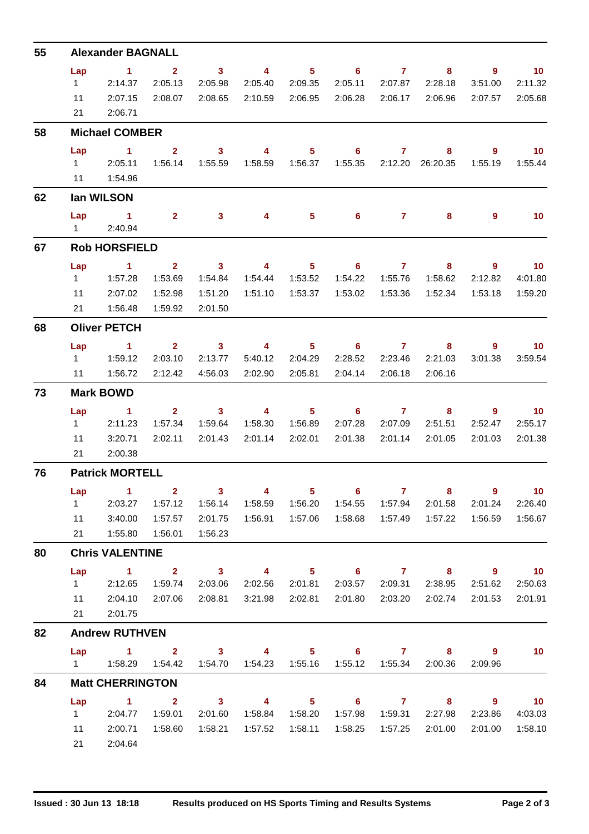| 55 | <b>Alexander BAGNALL</b>                                                                                                                                                            |                      |                |                            |                         |                            |                            |                |                           |                                     |                             |  |
|----|-------------------------------------------------------------------------------------------------------------------------------------------------------------------------------------|----------------------|----------------|----------------------------|-------------------------|----------------------------|----------------------------|----------------|---------------------------|-------------------------------------|-----------------------------|--|
|    | Lap                                                                                                                                                                                 | $\blacktriangleleft$ | $\overline{2}$ | $\overline{\phantom{a}}$ 3 | $\overline{4}$          | 5 <sub>5</sub>             | $\overline{\phantom{0}}$ 6 | $\overline{7}$ | 8                         | 9                                   | $\overline{10}$             |  |
|    | 1                                                                                                                                                                                   | 2:14.37              | 2:05.13        | 2:05.98                    | 2:05.40                 | 2:09.35                    | 2:05.11                    | 2:07.87        | 2:28.18                   | 3:51.00                             | 2:11.32                     |  |
|    | 11                                                                                                                                                                                  | 2:07.15              | 2:08.07        | 2:08.65                    | 2:10.59                 | 2:06.95                    | 2:06.28                    | 2:06.17        | 2:06.96                   | 2:07.57                             | 2:05.68                     |  |
|    | 2:06.71<br>21                                                                                                                                                                       |                      |                |                            |                         |                            |                            |                |                           |                                     |                             |  |
| 58 | <b>Michael COMBER</b>                                                                                                                                                               |                      |                |                            |                         |                            |                            |                |                           |                                     |                             |  |
|    | Lap                                                                                                                                                                                 | $\sim$ 1             | $\overline{2}$ | $\mathbf{3}$               | 4                       | 5 <sup>5</sup>             | 6                          | $\mathbf{7}$   | 8                         | $\overline{9}$                      | $\overline{10}$             |  |
|    |                                                                                                                                                                                     | 1 2:05.11            | 1:56.14        | 1:55.59                    | 1:58.59  1:56.37        |                            |                            |                |                           | 1:55.19                             | 1:55.44                     |  |
|    |                                                                                                                                                                                     | 11  1:54.96          |                |                            |                         |                            |                            |                |                           |                                     |                             |  |
| 62 | lan WILSON                                                                                                                                                                          |                      |                |                            |                         |                            |                            |                |                           |                                     |                             |  |
|    | Lap<br>$1 \quad$                                                                                                                                                                    | $\sim$ 1<br>2:40.94  | 2 <sup>1</sup> | 3 <sup>1</sup>             | 4                       | 5                          | $6 -$                      | $7 -$          | 8                         | 9                                   | 10                          |  |
| 67 | <b>Rob HORSFIELD</b>                                                                                                                                                                |                      |                |                            |                         |                            |                            |                |                           |                                     |                             |  |
|    | Lap                                                                                                                                                                                 | $\sim$ 1             | $\mathbf{2}$   | $\overline{\mathbf{3}}$    | $\overline{\mathbf{4}}$ | 5 <sup>5</sup>             | $\overline{\phantom{0}}$ 6 | $\overline{7}$ | 8                         | 9                                   | 10                          |  |
|    | $1 \quad$                                                                                                                                                                           | 1:57.28              | 1:53.69        | 1:54.84                    | 1:54.44                 | 1:53.52                    | 1:54.22                    | 1:55.76        | 1:58.62                   | 2:12.82                             | 4:01.80                     |  |
|    | 11                                                                                                                                                                                  | 2:07.02              | 1:52.98        | 1:51.20                    |                         | 1:51.10  1:53.37           | 1:53.02                    | 1:53.36        | 1:52.34                   | 1:53.18                             | 1:59.20                     |  |
|    | 21                                                                                                                                                                                  | 1:56.48              | 1:59.92        | 2:01.50                    |                         |                            |                            |                |                           |                                     |                             |  |
| 68 | <b>Oliver PETCH</b>                                                                                                                                                                 |                      |                |                            |                         |                            |                            |                |                           |                                     |                             |  |
|    | Lap                                                                                                                                                                                 | $\sim$ 1             | 2 <sup>1</sup> | $\overline{\mathbf{3}}$    | $\overline{\mathbf{4}}$ | $5 -$                      | $6 \qquad \qquad 7$        |                | 8                         | 9                                   | $\overline{\mathbf{10}}$    |  |
|    |                                                                                                                                                                                     |                      | 2:03.10        | 2:13.77                    | 5:40.12                 | 2:04.29                    | 2:28.52                    | 2:23.46        | 2:21.03                   | 3:01.38                             | 3:59.54                     |  |
|    | 11                                                                                                                                                                                  | 1:56.72              | 2:12.42        | 4:56.03                    | 2:02.90                 | 2:05.81                    | 2:04.14                    | 2:06.18        | 2:06.16                   |                                     |                             |  |
| 73 | <b>Mark BOWD</b>                                                                                                                                                                    |                      |                |                            |                         |                            |                            |                |                           |                                     |                             |  |
|    | Lap                                                                                                                                                                                 | $\sim$ 1             | 2 <sub>1</sub> | $\overline{\mathbf{3}}$    | 4                       | $5^{\circ}$                | $\overline{\phantom{a}}$ 6 | $\overline{7}$ | 8                         | 9                                   | $\overline{\phantom{0}}$ 10 |  |
|    | $1 \quad \Box$                                                                                                                                                                      | 2:11.23              | 1:57.34        | 1:59.64                    |                         | 1:58.30  1:56.89           | 2:07.28                    | 2:07.09        | 2:51.51                   | 2:52.47                             | 2:55.17                     |  |
|    | 11                                                                                                                                                                                  | 3:20.71              | 2:02.11        | 2:01.43                    | 2:01.14                 | 2:02.01                    | 2:01.38                    | 2:01.14        | 2:01.05                   | 2:01.03                             | 2:01.38                     |  |
|    | 21                                                                                                                                                                                  | 2:00.38              |                |                            |                         |                            |                            |                |                           |                                     |                             |  |
| 76 | <b>Patrick MORTELL</b>                                                                                                                                                              |                      |                |                            |                         |                            |                            |                |                           |                                     |                             |  |
|    |                                                                                                                                                                                     | Lap 1 2              |                | $\overline{\mathbf{3}}$    | $\sim$ 4                | $\overline{5}$             | $\overline{\phantom{0}}$ 6 |                |                           |                                     | $\blacksquare$ 10           |  |
|    | $1 \quad$                                                                                                                                                                           | 2:03.27              | 1:57.12        | 1:56.14                    | 1:58.59                 | 1:56.20                    | 1:54.55                    | 1:57.94        | 2:01.58                   | 2:01.24                             | 2:26.40                     |  |
|    | 11                                                                                                                                                                                  | 3:40.00              | 1:57.57        | 2:01.75                    | 1:56.91                 | 1:57.06                    | 1:58.68                    | 1:57.49        | 1:57.22                   | 1:56.59                             | 1:56.67                     |  |
|    | 21                                                                                                                                                                                  | 1:55.80              | 1:56.01        | 1:56.23                    |                         |                            |                            |                |                           |                                     |                             |  |
| 80 | <b>Chris VALENTINE</b>                                                                                                                                                              |                      |                |                            |                         |                            |                            |                |                           |                                     |                             |  |
|    | Lap                                                                                                                                                                                 | $\sim$ 1             | $\mathbf{2}$   | $\overline{\mathbf{3}}$    | $\overline{4}$          | $\overline{\phantom{1}}$ 5 | $\overline{\phantom{a}}$ 6 | $\overline{7}$ | 8 <sup>1</sup>            | $\overline{\phantom{a}}$ 9          | $\overline{\mathbf{10}}$    |  |
|    | $1 \quad$                                                                                                                                                                           | 2:12.65              | 1:59.74        | 2:03.06                    |                         | 2:02.56 2:01.81            |                            |                | 2:03.57  2:09.31  2:38.95 | 2:51.62                             | 2:50.63                     |  |
|    | 11                                                                                                                                                                                  | 2:04.10              | 2:07.06        | 2:08.81                    | 3:21.98                 | 2:02.81                    | 2:01.80                    | 2:03.20        | 2:02.74                   | 2:01.53                             | 2:01.91                     |  |
|    | 21<br>2:01.75                                                                                                                                                                       |                      |                |                            |                         |                            |                            |                |                           |                                     |                             |  |
| 82 | <b>Andrew RUTHVEN</b>                                                                                                                                                               |                      |                |                            |                         |                            |                            |                |                           |                                     |                             |  |
|    | $1 \quad$                                                                                                                                                                           | $Lap$ 1 2            |                |                            | $3 \t 4$                |                            | 5 6 7 8                    |                | 2:00.36                   | $\overline{\phantom{a}}$<br>2:09.96 | 10 <sup>°</sup>             |  |
| 84 | 1:58.29  1:54.42  1:54.70  1:54.23  1:55.16  1:55.12  1:55.34<br><b>Matt CHERRINGTON</b>                                                                                            |                      |                |                            |                         |                            |                            |                |                           |                                     |                             |  |
|    | $\overline{\mathbf{3}}$<br>Lap<br>$\blacktriangleleft$<br>$\overline{2}$<br>$\overline{4}$<br>5 <sub>1</sub><br>$\overline{\phantom{a}}$ 6<br>$\overline{7}$<br>8<br>$\overline{9}$ |                      |                |                            |                         |                            |                            |                |                           |                                     |                             |  |
|    | $1 \quad$                                                                                                                                                                           | 2:04.77              | 1:59.01        | 2:01.60                    | 1:58.84                 | 1:58.20                    | 1:57.98                    | 1:59.31        | 2:27.98                   | 2:23.86                             | 10<br>4:03.03               |  |
|    | 11                                                                                                                                                                                  | 2:00.71              | 1:58.60        | 1:58.21                    | 1:57.52                 | 1:58.11                    | 1:58.25                    | 1:57.25        | 2:01.00                   | 2:01.00                             | 1:58.10                     |  |
|    | 21                                                                                                                                                                                  | 2:04.64              |                |                            |                         |                            |                            |                |                           |                                     |                             |  |
|    |                                                                                                                                                                                     |                      |                |                            |                         |                            |                            |                |                           |                                     |                             |  |